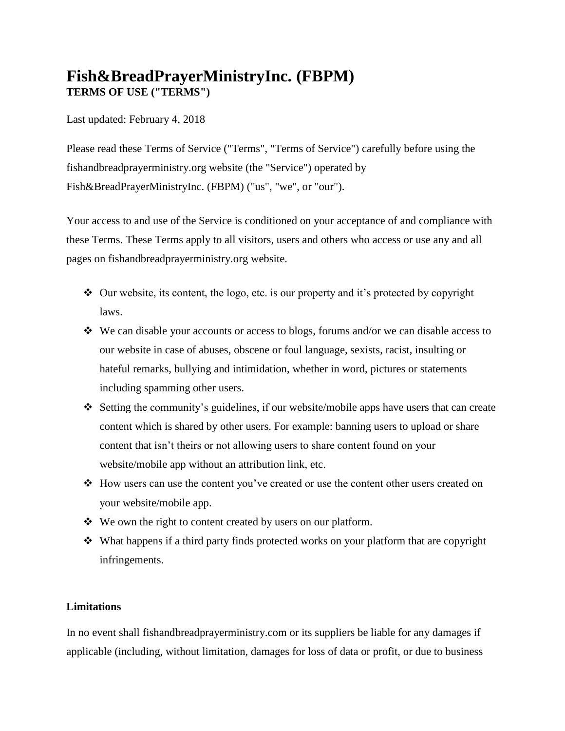# **Fish&BreadPrayerMinistryInc. (FBPM) TERMS OF USE ("TERMS")**

Last updated: February 4, 2018

Please read these Terms of Service ("Terms", "Terms of Service") carefully before using the fishandbreadprayerministry.org website (the "Service") operated by Fish&BreadPrayerMinistryInc. (FBPM) ("us", "we", or "our").

Your access to and use of the Service is conditioned on your acceptance of and compliance with these Terms. These Terms apply to all visitors, users and others who access or use any and all pages on fishandbreadprayerministry.org website.

- $\triangleleft$  Our website, its content, the logo, etc. is our property and it's protected by copyright laws.
- $\div$  We can disable your accounts or access to blogs, forums and/or we can disable access to our website in case of abuses, obscene or foul language, sexists, racist, insulting or hateful remarks, bullying and intimidation, whether in word, pictures or statements including spamming other users.
- $\triangle$  Setting the community's guidelines, if our website/mobile apps have users that can create content which is shared by other users. For example: banning users to upload or share content that isn't theirs or not allowing users to share content found on your website/mobile app without an attribution link, etc.
- How users can use the content you've created or use the content other users created on your website/mobile app.
- We own the right to content created by users on our platform.
- What happens if a third party finds protected works on your platform that are copyright infringements.

## **Limitations**

In no event shall fishandbreadprayerministry.com or its suppliers be liable for any damages if applicable (including, without limitation, damages for loss of data or profit, or due to business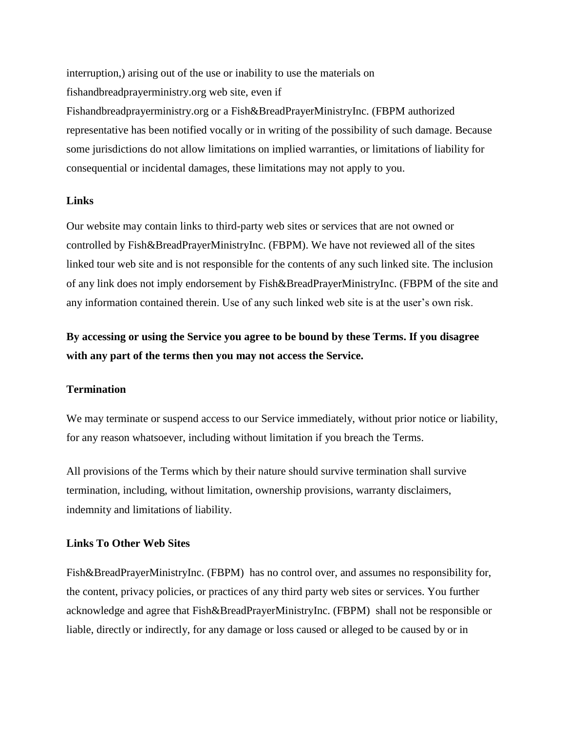interruption,) arising out of the use or inability to use the materials on fishandbreadprayerministry.org web site, even if Fishandbreadprayerministry.org or a Fish&BreadPrayerMinistryInc. (FBPM authorized representative has been notified vocally or in writing of the possibility of such damage. Because some jurisdictions do not allow limitations on implied warranties, or limitations of liability for consequential or incidental damages, these limitations may not apply to you.

### **Links**

Our website may contain links to third-party web sites or services that are not owned or controlled by Fish&BreadPrayerMinistryInc. (FBPM). We have not reviewed all of the sites linked tour web site and is not responsible for the contents of any such linked site. The inclusion of any link does not imply endorsement by Fish&BreadPrayerMinistryInc. (FBPM of the site and any information contained therein. Use of any such linked web site is at the user's own risk.

**By accessing or using the Service you agree to be bound by these Terms. If you disagree with any part of the terms then you may not access the Service.**

#### **Termination**

We may terminate or suspend access to our Service immediately, without prior notice or liability, for any reason whatsoever, including without limitation if you breach the Terms.

All provisions of the Terms which by their nature should survive termination shall survive termination, including, without limitation, ownership provisions, warranty disclaimers, indemnity and limitations of liability.

#### **Links To Other Web Sites**

Fish&BreadPrayerMinistryInc. (FBPM) has no control over, and assumes no responsibility for, the content, privacy policies, or practices of any third party web sites or services. You further acknowledge and agree that Fish&BreadPrayerMinistryInc. (FBPM) shall not be responsible or liable, directly or indirectly, for any damage or loss caused or alleged to be caused by or in